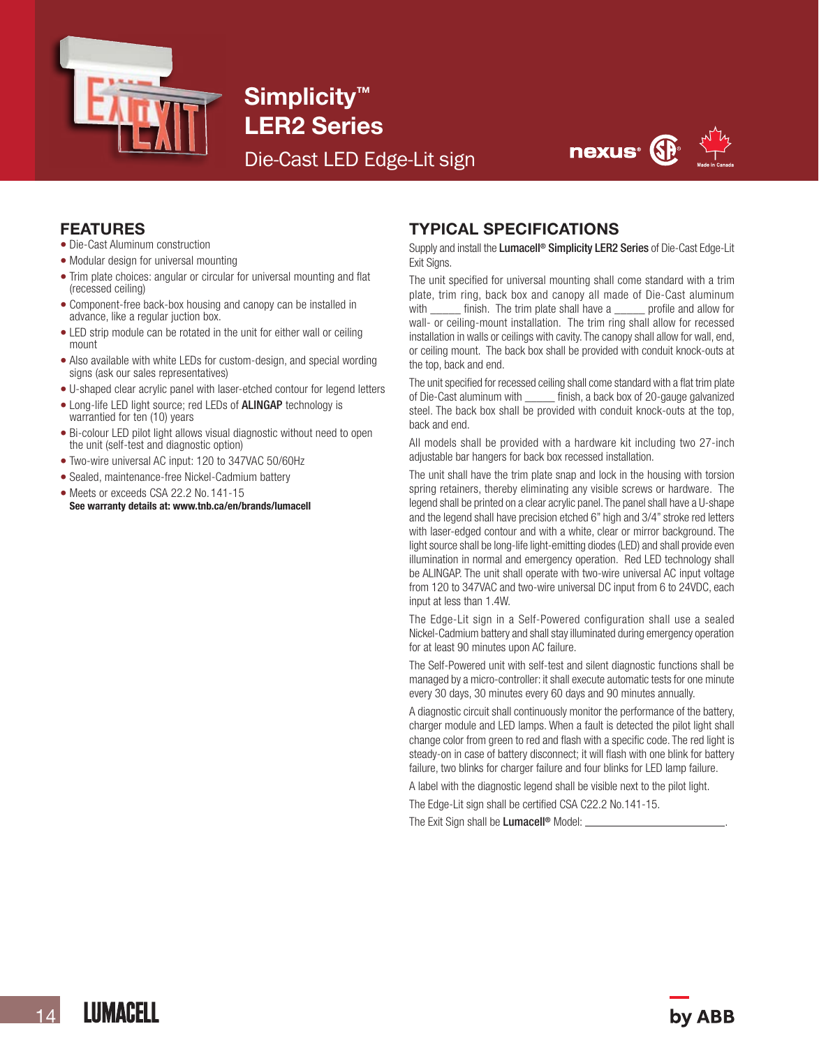

Simplicity<sup>™</sup> LER2 Series

Die-Cast LED Edge-Lit sign



#### FEATURES

- Die-Cast Aluminum construction
- Modular design for universal mounting
- Trim plate choices: angular or circular for universal mounting and flat (recessed ceiling)
- Component-free back-box housing and canopy can be installed in advance, like a regular juction box.
- LED strip module can be rotated in the unit for either wall or ceiling mount
- Also available with white LEDs for custom-design, and special wording signs (ask our sales representatives)
- U-shaped clear acrylic panel with laser-etched contour for legend letters
- Long-life LED light source; red LEDs of ALINGAP technology is warrantied for ten (10) years
- Bi-colour LED pilot light allows visual diagnostic without need to open the unit (self-test and diagnostic option)
- Two-wire universal AC input: 120 to 347VAC 50/60Hz
- Sealed, maintenance-free Nickel-Cadmium battery
- Meets or exceeds CSA 22.2 No. 141-15 See warranty details at: www.tnb.ca/en/brands/lumacell

## TYPICAL SPECIFICATIONS

Supply and install the Lumacell<sup>®</sup> Simplicity LER2 Series of Die-Cast Edge-Lit Exit Signs.

The unit specified for universal mounting shall come standard with a trim plate, trim ring, back box and canopy all made of Die-Cast aluminum with \_\_\_\_\_ finish. The trim plate shall have a \_\_\_\_\_ profile and allow for wall- or ceiling-mount installation. The trim ring shall allow for recessed installation in walls or ceilings with cavity. The canopy shall allow for wall, end, or ceiling mount. The back box shall be provided with conduit knock-outs at the top, back and end.

The unit specified for recessed ceiling shall come standard with a flat trim plate of Die-Cast aluminum with \_\_\_\_\_ finish, a back box of 20-gauge galvanized steel. The back box shall be provided with conduit knock-outs at the top, back and end.

All models shall be provided with a hardware kit including two 27-inch adjustable bar hangers for back box recessed installation.

The unit shall have the trim plate snap and lock in the housing with torsion spring retainers, thereby eliminating any visible screws or hardware. The legend shall be printed on a clear acrylic panel.The panel shall have a U-shape and the legend shall have precision etched 6" high and 3/4" stroke red letters with laser-edged contour and with a white, clear or mirror background. The light source shall be long-life light-emitting diodes (LED) and shall provide even illumination in normal and emergency operation. Red LED technology shall be ALINGAP. The unit shall operate with two-wire universal AC input voltage from 120 to 347VAC and two-wire universal DC input from 6 to 24VDC, each input at less than 1.4W.

The Edge-Lit sign in a Self-Powered configuration shall use a sealed Nickel-Cadmium battery and shall stay illuminated during emergency operation for at least 90 minutes upon AC failure.

The Self-Powered unit with self-test and silent diagnostic functions shall be managed by a micro-controller: it shall execute automatic tests for one minute every 30 days, 30 minutes every 60 days and 90 minutes annually.

A diagnostic circuit shall continuously monitor the performance of the battery, charger module and LED lamps. When a fault is detected the pilot light shall change color from green to red and flash with a specific code. The red light is steady-on in case of battery disconnect; it will flash with one blink for battery failure, two blinks for charger failure and four blinks for LED lamp failure.

A label with the diagnostic legend shall be visible next to the pilot light.

The Edge-Lit sign shall be certified CSA C22.2 No.141-15.

The Exit Sign shall be Lumacell<sup>®</sup> Model: